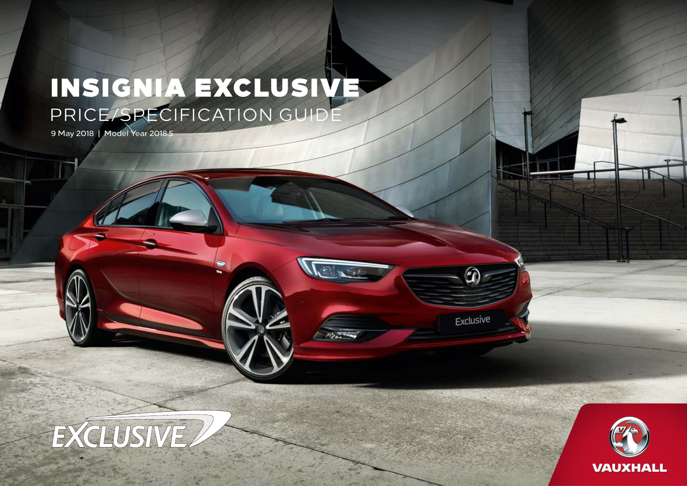# INSIGNIA EXCLUSIVE PRICE/SPECIFICATION GUIDE

 $\sim$ 

 $\widehat{\mathbf{r}}$ 

Exclusive

9 May 2018 | Model Year 2018.5



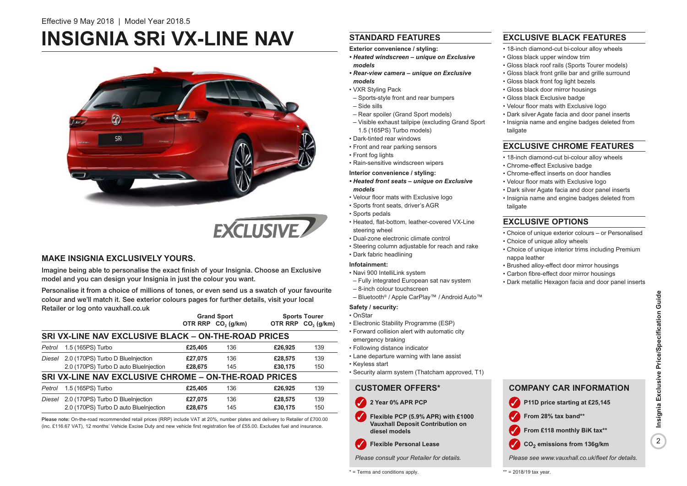# **INSIGNIA SRi VX-LINE NAV**





### **MAKE INSIGNIA EXCLUSIVELY YOURS.**

Imagine being able to personalise the exact finish of your Insignia. Choose an Exclusive model and you can design your Insignia in just the colour you want.

Personalise it from a choice of millions of tones, or even send us a swatch of your favourite colour and we'll match it. See exterior colours pages for further details, visit your local Retailer or log onto vauxhall.co.uk

|                                                             |                                                       |         | <b>Grand Sport</b>             |         | <b>Sports Tourer</b>           |  |  |  |  |
|-------------------------------------------------------------|-------------------------------------------------------|---------|--------------------------------|---------|--------------------------------|--|--|--|--|
|                                                             |                                                       |         | OTR RRP CO <sub>2</sub> (g/km) |         | OTR RRP CO <sub>2</sub> (g/km) |  |  |  |  |
| <b>SRI VX-LINE NAV EXCLUSIVE BLACK - ON-THE-ROAD PRICES</b> |                                                       |         |                                |         |                                |  |  |  |  |
| Petrol                                                      | 1.5 (165PS) Turbo                                     | £25,405 | 136                            | £26,925 | 139                            |  |  |  |  |
| Diesel                                                      | 2.0 (170PS) Turbo D BlueInjection                     | £27.075 | 136                            | £28,575 | 139                            |  |  |  |  |
|                                                             | 2.0 (170PS) Turbo D auto BlueInjection                | £28,675 | 145                            | £30,175 | 150                            |  |  |  |  |
|                                                             | SRI VX-LINE NAV EXCLUSIVE CHROME - ON-THE-ROAD PRICES |         |                                |         |                                |  |  |  |  |
| Petrol                                                      | 1.5 (165PS) Turbo                                     | £25,405 | 136                            | £26,925 | 139                            |  |  |  |  |
| Diesel                                                      | 2.0 (170PS) Turbo D BlueInjection                     | £27.075 | 136                            | £28,575 | 139                            |  |  |  |  |
|                                                             | 2.0 (170PS) Turbo D auto BlueInjection                | £28,675 | 145                            | £30.175 | 150                            |  |  |  |  |

Please note: On-the-road recommended retail prices (RRP) include VAT at 20%, number plates and delivery to Retailer of £700.00 (inc. £116.67 VAT), 12 months' Vehicle Excise Duty and new vehicle first registration fee of £55.00. Excludes fuel and insurance.

### **STANDARD FEATURES**

**Exterior convenience / styling:**

- *Heated windscreen unique on Exclusive models*
- *Rear-view camera unique on Exclusive models*
- VXR Styling Pack
- Sports-style front and rear bumpers
- Side sills
- Rear spoiler (Grand Sport models)
- Visible exhaust tailpipe (excluding Grand Sport 1.5 (165PS) Turbo models)
- Dark-tinted rear windows
- Front and rear parking sensors
- Front fog lights
- Rain-sensitive windscreen wipers

#### **Interior convenience / styling:**

- *Heated front seats unique on Exclusive models*
- Velour floor mats with Exclusive logo
- Sports front seats, driver's AGR • Sports pedals
- Heated, flat-bottom, leather-covered VX-Line
- steering wheel
- Dual-zone electronic climate control
- Steering column adjustable for reach and rake
- Dark fabric headlining

#### **Infotainment:**

- Navi 900 IntelliLink system
- Fully integrated European sat nav system
- 8-inch colour touchscreen
- Bluetooth® / Apple CarPlay™ / Android Auto™

#### **Safety / security:**

- OnStar • Electronic Stability Programme (ESP)
- Forward collision alert with automatic city emergency braking
- Following distance indicator
- Lane departure warning with lane assist
- Keyless start
- Security alarm system (Thatcham approved, T1)

### **CUSTOMER OFFERS\***

- ✓ **2 Year 0% APR PCP**
- **Flexible PCP (5.9% APR) with £1000 Vauxhall Deposit Contribution on diesel models** ✓
- ✓ **Flexible Personal Lease**

*Please consult your Retailer for details.*

\* = Terms and conditions apply.

### **EXCLUSIVE BLACK FEATURES**

- 18-inch diamond-cut bi-colour alloy wheels
- Gloss black upper window trim
- Gloss black roof rails (Sports Tourer models)
- Gloss black front grille bar and grille surround
- Gloss black front fog light bezels
- Gloss black door mirror housings
- Gloss black Exclusive badge
- Velour floor mats with Exclusive logo
- Dark silver Agate facia and door panel inserts
- Insignia name and engine badges deleted from tailgate

### **EXCLUSIVE CHROME FEATURES**

- 18-inch diamond-cut bi-colour alloy wheels
- Chrome-effect Exclusive badge
- Chrome-effect inserts on door handles
- Velour floor mats with Exclusive logo
- Dark silver Agate facia and door panel inserts • Insignia name and engine badges deleted from
	- tailgate

#### **EXCLUSIVE OPTIONS**

- Choice of unique exterior colours or Personalised
- Choice of unique alloy wheels
- Choice of unique interior trims including Premium nappa leather
- Brushed alloy-effect door mirror housings
- Carbon fibre-effect door mirror housings
- Dark metallic Hexagon facia and door panel inserts

### *Please see www.vauxhall.co.uk/fleet for details.*

 $*** = 2018/19$  tax year.



**COMPANY CAR INFORMATION**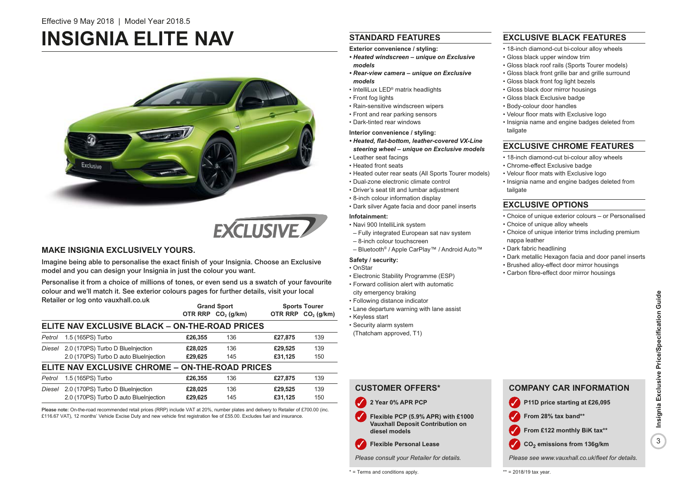# **INSIGNIA ELITE NAV**





### **MAKE INSIGNIA EXCLUSIVELY YOURS.**

Imagine being able to personalise the exact finish of your Insignia. Choose an Exclusive model and you can design your Insignia in just the colour you want.

Personalise it from a choice of millions of tones, or even send us a swatch of your favourite colour and we'll match it. See exterior colours pages for further details, visit your local Retailer or log onto vauxhall.co.uk

|                                                |                                                 |         | <b>Grand Sport</b><br>OTR RRP CO <sub>2</sub> (g/km) |         | <b>Sports Tourer</b><br>OTR RRP CO <sub>2</sub> (g/km) |  |  |  |  |  |
|------------------------------------------------|-------------------------------------------------|---------|------------------------------------------------------|---------|--------------------------------------------------------|--|--|--|--|--|
| ELITE NAV EXCLUSIVE BLACK - ON-THE-ROAD PRICES |                                                 |         |                                                      |         |                                                        |  |  |  |  |  |
| Petrol                                         | 1.5 (165PS) Turbo                               | £26,355 | 136                                                  | £27,875 | 139                                                    |  |  |  |  |  |
| Diesel                                         | 2.0 (170PS) Turbo D BlueInjection               | £28,025 | 136                                                  | £29,525 | 139                                                    |  |  |  |  |  |
|                                                | 2.0 (170PS) Turbo D auto BlueInjection          | £29,625 | 145                                                  | £31,125 | 150                                                    |  |  |  |  |  |
|                                                | ELITE NAV EXCLUSIVE CHROME - ON-THE-ROAD PRICES |         |                                                      |         |                                                        |  |  |  |  |  |
| Petrol                                         | 1.5 (165PS) Turbo                               | £26,355 | 136                                                  | £27,875 | 139                                                    |  |  |  |  |  |
| <b>Diesel</b>                                  | 2.0 (170PS) Turbo D BlueInjection               | £28,025 | 136                                                  | £29,525 | 139                                                    |  |  |  |  |  |
|                                                | 2.0 (170PS) Turbo D auto BlueInjection          | £29.625 | 145                                                  | £31.125 | 150                                                    |  |  |  |  |  |

Please note: On-the-road recommended retail prices (RRP) include VAT at 20%, number plates and delivery to Retailer of £700.00 (inc. £116.67 VAT), 12 months' Vehicle Excise Duty and new vehicle first registration fee of £55.00. Excludes fuel and insurance.

### **STANDARD FEATURES**

#### **Exterior convenience / styling:**

- *Heated windscreen unique on Exclusive models*
- *Rear-view camera unique on Exclusive models*
- IntelliLux LED® matrix headlights
- Front fog lights
- Rain-sensitive windscreen wipers
- Front and rear parking sensors
- Dark-tinted rear windows

#### **Interior convenience / styling:**

- *Heated, flat-bottom, leather-covered VX-Line steering wheel – unique on Exclusive models*
- Leather seat facings
- Heated front seats
- Heated outer rear seats (All Sports Tourer models)
- Dual-zone electronic climate control
- Driver's seat tilt and lumbar adjustment
- 8-inch colour information display
- Dark silver Agate facia and door panel inserts

#### **Infotainment:**

- Navi 900 IntelliLink system
- Fully integrated European sat nav system
- 8-inch colour touchscreen
- Bluetooth® / Apple CarPlay™ / Android Auto™

#### **Safety / security:**

- OnStar
- Electronic Stability Programme (ESP)
- Forward collision alert with automatic
- city emergency braking
- Following distance indicator
- Lane departure warning with lane assist
- Keyless start
- Security alarm system
- (Thatcham approved, T1)

## **CUSTOMER OFFERS\*** ✓ **2 Year 0% APR PCP**

- **Flexible PCP (5.9% APR) with £1000 Vauxhall Deposit Contribution on diesel models** ✓
- ✓ **Flexible Personal Lease**

*Please consult your Retailer for details.*

\* = Terms and conditions apply.

### **EXCLUSIVE BLACK FEATURES**

- 18-inch diamond-cut bi-colour alloy wheels
- Gloss black upper window trim
- Gloss black roof rails (Sports Tourer models)
- Gloss black front grille bar and grille surround
- Gloss black front fog light bezels
- Gloss black door mirror housings
	- Gloss black Exclusive badge
	- Body-colour door handles
	- Velour floor mats with Exclusive logo
	- Insignia name and engine badges deleted from tailgate

### **EXCLUSIVE CHROME FEATURES**

- 18-inch diamond-cut bi-colour alloy wheels
- Chrome-effect Exclusive badge
- Velour floor mats with Exclusive logo
- Insignia name and engine badges deleted from tailgate

### **EXCLUSIVE OPTIONS**

- Choice of unique exterior colours or Personalised
- Choice of unique alloy wheels
- Choice of unique interior trims including premium nappa leather
- Dark fabric headlining
- Dark metallic Hexagon facia and door panel inserts
- Brushed alloy-effect door mirror housings
- Carbon fibre-effect door mirror housings

### *Please see www.vauxhall.co.uk/fleet for details.*

✓ **From 28% tax band\*\***

**COMPANY CAR INFORMATION**

✓ **P11D price starting at £26,095**

From £122 monthly BiK tax\*\* **CO2** ✓ **emissions from 136g/km**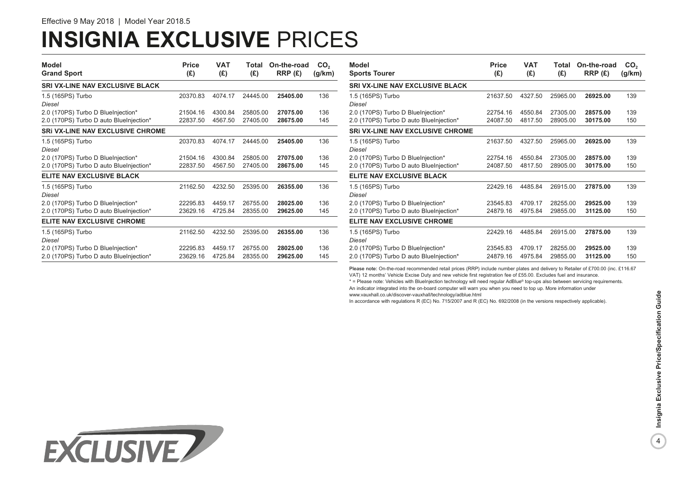# **INSIGNIA EXCLUSIVE** PRICES

| Model<br><b>Grand Sport</b>             | <b>Price</b><br>(£) | <b>VAT</b><br>(E) | Total<br>(E) | On-the-road<br>RRP(E) | CO <sub>2</sub><br>(g/km) | Model<br><b>Sports Tourer</b>           | <b>Price</b><br>(E) | VAT<br>(E) | Total<br>(£) | On-the-road<br>RRP(E) | CO <sub>2</sub><br>(g/km) |
|-----------------------------------------|---------------------|-------------------|--------------|-----------------------|---------------------------|-----------------------------------------|---------------------|------------|--------------|-----------------------|---------------------------|
| <b>SRI VX-LINE NAV EXCLUSIVE BLACK</b>  |                     |                   |              |                       |                           | <b>SRI VX-LINE NAV EXCLUSIVE BLACK</b>  |                     |            |              |                       |                           |
| 1.5 (165PS) Turbo<br>Diesel             | 20370.83            | 4074.17           | 24445.00     | 25405.00              | 136                       | 1.5 (165PS) Turbo<br>Diesel             | 21637.50            | 4327.50    | 25965.00     | 26925.00              | 139                       |
| 2.0 (170PS) Turbo D BlueInjection*      | 21504.16            | 4300.84           | 25805.00     | 27075.00              | 136                       | 2.0 (170PS) Turbo D BlueInjection*      | 22754.16            | 4550.84    | 27305.00     | 28575.00              | 139                       |
| 2.0 (170PS) Turbo D auto BlueInjection* | 22837.50            | 4567.50           | 27405.00     | 28675.00              | 145                       | 2.0 (170PS) Turbo D auto BlueInjection* | 24087.50            | 4817.50    | 28905.00     | 30175.00              | 150                       |
| <b>SRI VX-LINE NAV EXCLUSIVE CHROME</b> |                     |                   |              |                       |                           | <b>SRI VX-LINE NAV EXCLUSIVE CHROME</b> |                     |            |              |                       |                           |
| 1.5 (165PS) Turbo<br>Diesel             | 20370.83            | 4074.17           | 24445.00     | 25405.00              | 136                       | 1.5 (165PS) Turbo<br>Diesel             | 21637.50            | 4327.50    | 25965.00     | 26925.00              | 139                       |
| 2.0 (170PS) Turbo D BlueInjection*      | 21504.16            | 4300.84           | 25805.00     | 27075.00              | 136                       | 2.0 (170PS) Turbo D BlueInjection*      | 22754.16            | 4550.84    | 27305.00     | 28575.00              | 139                       |
| 2.0 (170PS) Turbo D auto BlueInjection* | 22837.50            | 4567.50           | 27405.00     | 28675.00              | 145                       | 2.0 (170PS) Turbo D auto BlueInjection* | 24087.50            | 4817.50    | 28905.00     | 30175.00              | 150                       |
| <b>ELITE NAV EXCLUSIVE BLACK</b>        |                     |                   |              |                       |                           | <b>ELITE NAV EXCLUSIVE BLACK</b>        |                     |            |              |                       |                           |
| 1.5 (165PS) Turbo<br>Diesel             | 21162.50            | 4232.50           | 25395.00     | 26355.00              | 136                       | 1.5 (165PS) Turbo<br>Diesel             | 22429.16            | 4485.84    | 26915.00     | 27875.00              | 139                       |
| 2.0 (170PS) Turbo D BlueInjection*      | 22295.83            | 4459.17           | 26755.00     | 28025.00              | 136                       | 2.0 (170PS) Turbo D BlueInjection*      | 23545.83            | 4709.17    | 28255.00     | 29525.00              | 139                       |
| 2.0 (170PS) Turbo D auto BlueInjection* | 23629.16            | 4725.84           | 28355.00     | 29625.00              | 145                       | 2.0 (170PS) Turbo D auto BlueInjection* | 24879.16            | 4975.84    | 29855.00     | 31125.00              | 150                       |
| <b>ELITE NAV EXCLUSIVE CHROME</b>       |                     |                   |              |                       |                           | <b>ELITE NAV EXCLUSIVE CHROME</b>       |                     |            |              |                       |                           |
| 1.5 (165PS) Turbo<br>Diesel             | 21162.50            | 4232.50           | 25395.00     | 26355.00              | 136                       | 1.5 (165PS) Turbo<br>Diesel             | 22429.16            | 4485.84    | 26915.00     | 27875.00              | 139                       |
| 2.0 (170PS) Turbo D BlueInjection*      | 22295.83            | 4459.17           | 26755.00     | 28025.00              | 136                       | 2.0 (170PS) Turbo D BlueInjection*      | 23545.83            | 4709.17    | 28255.00     | 29525.00              | 139                       |
| 2.0 (170PS) Turbo D auto BlueInjection* | 23629.16            | 4725.84           | 28355.00     | 29625.00              | 145                       | 2.0 (170PS) Turbo D auto BlueInjection* | 24879.16            | 4975.84    | 29855.00     | 31125.00              | 150                       |

Please note: On-the-road recommended retail prices (RRP) include number plates and delivery to Retailer of £700.00 (inc. £116.67

VAT) 12 months' Vehicle Excise Duty and new vehicle first registration fee of £55.00. Excludes fuel and insurance.

\* = Please note: Vehicles with BlueInjection technology will need regular AdBlue® top-ups also between servicing requirements. An indicator integrated into the on-board computer will warn you when you need to top up. More information under www.vauxhall.co.uk/discover-vauxhall/technology/adblue.html

In accordance with regulations R (EC) No. 715/2007 and R (EC) No. 692/2008 (in the versions respectively applicable).

 $\overline{4}$ 

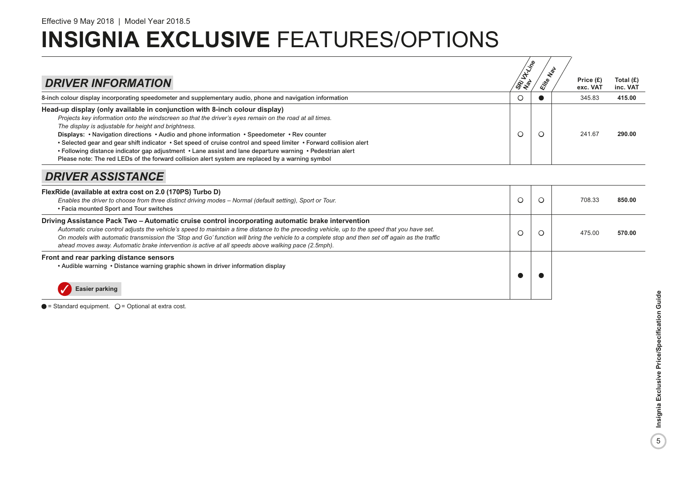|   |            | Total $(E)$<br>inc. VAT |
|---|------------|-------------------------|
|   | 345.83     | 415.00                  |
| O | 241.67     | 290.00                  |
|   | SRI H-Vine | Price (£)<br>exc. VAT   |

| FlexRide (available at extra cost on 2.0 (170PS) Turbo D)<br>Enables the driver to choose from three distinct driving modes – Normal (default setting), Sport or Tour.<br>• Facia mounted Sport and Tour switches                                                                                                                                                                                                                                                                                             |  | 708.33 | 850.00 |
|---------------------------------------------------------------------------------------------------------------------------------------------------------------------------------------------------------------------------------------------------------------------------------------------------------------------------------------------------------------------------------------------------------------------------------------------------------------------------------------------------------------|--|--------|--------|
| Driving Assistance Pack Two – Automatic cruise control incorporating automatic brake intervention<br>Automatic cruise control adjusts the vehicle's speed to maintain a time distance to the preceding vehicle, up to the speed that you have set.<br>On models with automatic transmission the 'Stop and Go' function will bring the vehicle to a complete stop and then set off again as the traffic<br>ahead moves away. Automatic brake intervention is active at all speeds above walking pace (2.5mph). |  | 475.00 | 570.00 |
| Front and rear parking distance sensors<br>• Audible warning • Distance warning graphic shown in driver information display<br>Easier parking                                                                                                                                                                                                                                                                                                                                                                 |  |        |        |

 $\bullet$  = Standard equipment.  $\bigcirc$  = Optional at extra cost.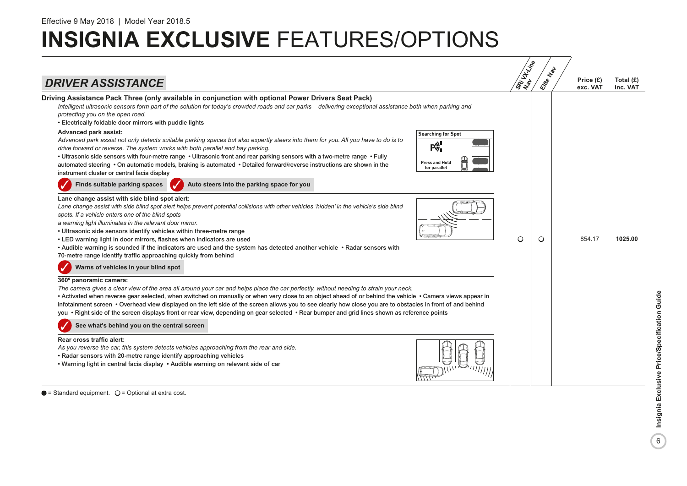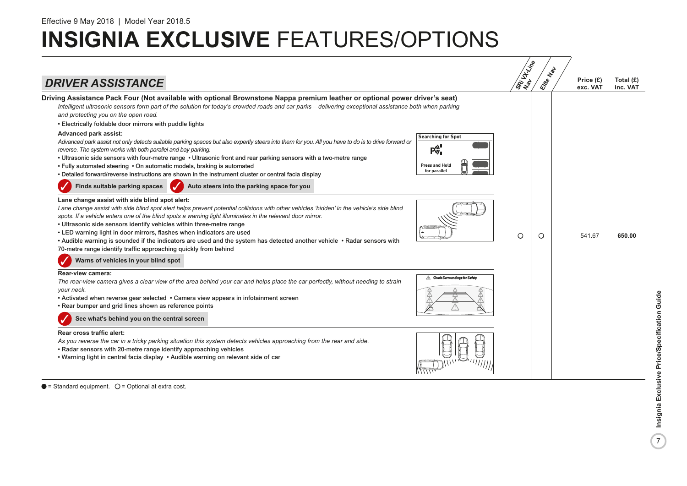

 $\bullet$  = Standard equipment.  $\circ$  = Optional at extra cost.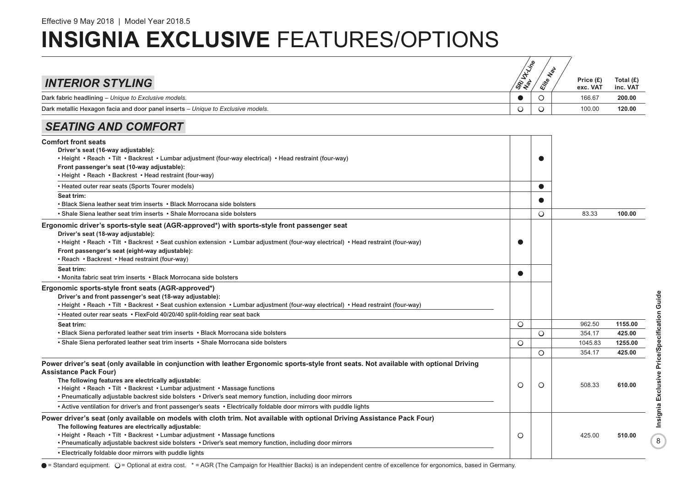|                                                                                                                                                                                                                 |            | Ray       |                       |                         |
|-----------------------------------------------------------------------------------------------------------------------------------------------------------------------------------------------------------------|------------|-----------|-----------------------|-------------------------|
| <b>INTERIOR STYLING</b>                                                                                                                                                                                         | SRi H-Xine | Elite.    | Price (£)<br>exc. VAT | Total $(E)$<br>inc. VAT |
| Dark fabric headlining - Unique to Exclusive models.                                                                                                                                                            | $\bullet$  | $\Omega$  | 166.67                | 200.00                  |
| Dark metallic Hexagon facia and door panel inserts – Unique to Exclusive models.                                                                                                                                | O          | $\circ$   | 100.00                | 120.00                  |
| <b>SEATING AND COMFORT</b>                                                                                                                                                                                      |            |           |                       |                         |
| <b>Comfort front seats</b>                                                                                                                                                                                      |            |           |                       |                         |
| Driver's seat (16-way adjustable):                                                                                                                                                                              |            |           |                       |                         |
| · Height · Reach · Tilt · Backrest · Lumbar adjustment (four-way electrical) · Head restraint (four-way)                                                                                                        |            |           |                       |                         |
| Front passenger's seat (10-way adjustable):<br>• Height • Reach • Backrest • Head restraint (four-way)                                                                                                          |            |           |                       |                         |
| • Heated outer rear seats (Sports Tourer models)                                                                                                                                                                |            | $\bullet$ |                       |                         |
| Seat trim:                                                                                                                                                                                                      |            |           |                       |                         |
| • Black Siena leather seat trim inserts • Black Morrocana side bolsters                                                                                                                                         |            |           |                       |                         |
| • Shale Siena leather seat trim inserts • Shale Morrocana side bolsters                                                                                                                                         |            | $\circ$   | 83.33                 | 100.00                  |
| Ergonomic driver's sports-style seat (AGR-approved*) with sports-style front passenger seat                                                                                                                     |            |           |                       |                         |
| Driver's seat (18-way adjustable):<br>· Height · Reach · Tilt · Backrest · Seat cushion extension · Lumbar adjustment (four-way electrical) · Head restraint (four-way)                                         |            |           |                       |                         |
| Front passenger's seat (eight-way adjustable):                                                                                                                                                                  |            |           |                       |                         |
| · Reach · Backrest · Head restraint (four-way)                                                                                                                                                                  |            |           |                       |                         |
| Seat trim:                                                                                                                                                                                                      | $\bullet$  |           |                       |                         |
| • Monita fabric seat trim inserts • Black Morrocana side bolsters                                                                                                                                               |            |           |                       |                         |
| Ergonomic sports-style front seats (AGR-approved*)                                                                                                                                                              |            |           |                       |                         |
| Driver's and front passenger's seat (18-way adjustable):                                                                                                                                                        |            |           |                       |                         |
| · Height · Reach · Tilt · Backrest · Seat cushion extension · Lumbar adjustment (four-way electrical) · Head restraint (four-way)<br>• Heated outer rear seats • FlexFold 40/20/40 split-folding rear seat back |            |           |                       |                         |
| Seat trim:                                                                                                                                                                                                      | O          |           | 962.50                | 1155.00                 |
| • Black Siena perforated leather seat trim inserts • Black Morrocana side bolsters                                                                                                                              |            | $\circ$   | 354.17                | 425.00                  |
| • Shale Siena perforated leather seat trim inserts • Shale Morrocana side bolsters                                                                                                                              | O          |           | 1045.83               | 1255.00                 |
|                                                                                                                                                                                                                 |            | $\circ$   | 354.17                | 425.00                  |
| Power driver's seat (only available in conjunction with leather Ergonomic sports-style front seats. Not available with optional Driving                                                                         |            |           |                       |                         |
| <b>Assistance Pack Four)</b>                                                                                                                                                                                    |            |           |                       |                         |
| The following features are electrically adjustable:                                                                                                                                                             | O          | $\circ$   | 508.33                | 610.00                  |
| • Height • Reach • Tilt • Backrest • Lumbar adjustment • Massage functions<br>. Pneumatically adjustable backrest side bolsters . Driver's seat memory function, including door mirrors                         |            |           |                       |                         |
| • Active ventilation for driver's and front passenger's seats • Electrically foldable door mirrors with puddle lights                                                                                           |            |           |                       |                         |
| Power driver's seat (only available on models with cloth trim. Not available with optional Driving Assistance Pack Four)                                                                                        |            |           |                       |                         |
| The following features are electrically adjustable:                                                                                                                                                             |            |           |                       |                         |
| • Height • Reach • Tilt • Backrest • Lumbar adjustment • Massage functions                                                                                                                                      | O          |           | 425.00                | 510.00                  |
| • Pneumatically adjustable backrest side bolsters • Driver's seat memory function, including door mirrors                                                                                                       |            |           |                       |                         |
| • Electrically foldable door mirrors with puddle lights                                                                                                                                                         |            |           |                       |                         |

● = Standard equipment. ○ = Optional at extra cost. \* = AGR (The Campaign for Healthier Backs) is an independent centre of excellence for ergonomics, based in Germany.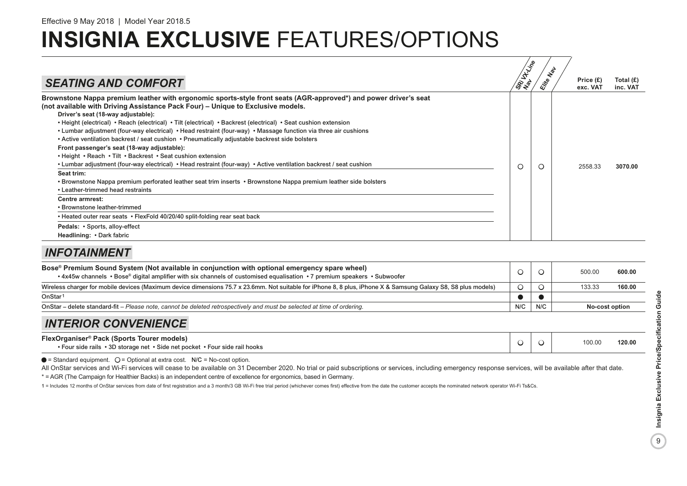|                                                                                                                                                                                                                                                                                                                                                                                                                                                                                                                                                                                                                                                                                                                                                                                                                                                                                                                                                                                                                                                                                                                                                                                                     |            | $\textbf{r}_{\phi}$ | Price $(E)$ | Total $(E)$ |
|-----------------------------------------------------------------------------------------------------------------------------------------------------------------------------------------------------------------------------------------------------------------------------------------------------------------------------------------------------------------------------------------------------------------------------------------------------------------------------------------------------------------------------------------------------------------------------------------------------------------------------------------------------------------------------------------------------------------------------------------------------------------------------------------------------------------------------------------------------------------------------------------------------------------------------------------------------------------------------------------------------------------------------------------------------------------------------------------------------------------------------------------------------------------------------------------------------|------------|---------------------|-------------|-------------|
| <b>SEATING AND COMFORT</b>                                                                                                                                                                                                                                                                                                                                                                                                                                                                                                                                                                                                                                                                                                                                                                                                                                                                                                                                                                                                                                                                                                                                                                          | SRI LIVING |                     | exc. VAT    | inc. VAT    |
| Brownstone Nappa premium leather with ergonomic sports-style front seats (AGR-approved*) and power driver's seat<br>(not available with Driving Assistance Pack Four) - Unique to Exclusive models.<br>Driver's seat (18-way adjustable):<br>• Height (electrical) • Reach (electrical) • Tilt (electrical) • Backrest (electrical) • Seat cushion extension<br>• Lumbar adjustment (four-way electrical) • Head restraint (four-way) • Massage function via three air cushions<br>• Active ventilation backrest / seat cushion • Pneumatically adjustable backrest side bolsters<br>Front passenger's seat (18-way adjustable):<br>• Height • Reach • Tilt • Backrest • Seat cushion extension<br>• Lumbar adjustment (four-way electrical) • Head restraint (four-way) • Active ventilation backrest / seat cushion<br>Seat trim:<br>• Brownstone Nappa premium perforated leather seat trim inserts • Brownstone Nappa premium leather side bolsters<br>• Leather-trimmed head restraints<br><b>Centre armrest:</b><br>• Brownstone leather-trimmed<br>• Heated outer rear seats • FlexFold 40/20/40 split-folding rear seat back<br>Pedals: • Sports, alloy-effect<br>Headlining: • Dark fabric |            | $\circ$             | 2558.33     | 3070.00     |

### *INFOTAINMENT*

| Bose® Premium Sound System (Not available in conjunction with optional emergency spare wheel)<br>• 4x45w channels • Bose® digital amplifier with six channels of customised equalisation • 7 premium speakers • Subwoofer |                              |  | 600.00<br>500.00 |
|---------------------------------------------------------------------------------------------------------------------------------------------------------------------------------------------------------------------------|------------------------------|--|------------------|
| Wireless charger for mobile devices (Maximum device dimensions 75.7 x 23.6mm. Not suitable for iPhone 8, 8 plus, iPhone X & Samsung Galaxy S8, S8 plus models)                                                            |                              |  | 133.33<br>160.00 |
| OnStar <sup>1</sup>                                                                                                                                                                                                       |                              |  |                  |
| OnStar – delete standard-fit – Please note, cannot be deleted retrospectively and must be selected at time of ordering.                                                                                                   | N/C<br>N/C<br>No-cost option |  |                  |
| <b>INTERIOR CONVENIENCE</b>                                                                                                                                                                                               |                              |  |                  |
| FlexOrganiser® Pack (Sports Tourer models)<br>• Four side rails • 3D storage net • Side net pocket • Four side rail hooks                                                                                                 |                              |  | 100.00<br>120.00 |

 $\bullet$  = Standard equipment.  $\bigcirc$  = Optional at extra cost. N/C = No-cost option.

All OnStar services and Wi-Fi services will cease to be available on 31 December 2020. No trial or paid subscriptions or services, including emergency response services, will be available after that date. \* = AGR (The Campaign for Healthier Backs) is an independent centre of excellence for ergonomics, based in Germany.

1 = Includes 12 months of OnStar services from date of first registration and a 3 month/3 GB Wi-Fi free trial period (whichever comes first) effective from the date the customer accepts the nominated network operator Wi-Fi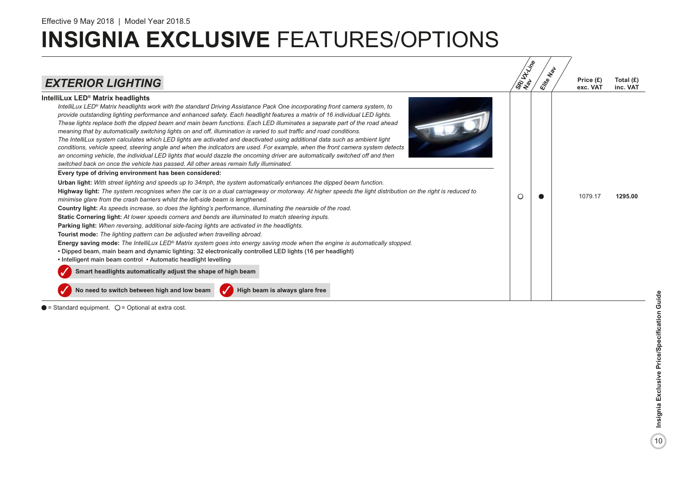| <b>EXTERIOR LIGHTING</b>                                                                                                                                                                                                                                                                                                                                                                                                                                                                                                                                                                                                                                                                                                                                                                                                                                                                                                                                                                                                                                                                                                                                                                                                                                                                                                                                                                                                                                                                                                                                                                                                                                                                                                                                                                                                                                                                                                                                                                                                                                                                                                                                                                                                                                                                                                                                                        | SRT H-TIMB | $\mathbf{r}_{\mathbf{p}}$<br>Elite | Price (£)<br>exc. VAT | Total $(E)$<br>inc. VAT |
|---------------------------------------------------------------------------------------------------------------------------------------------------------------------------------------------------------------------------------------------------------------------------------------------------------------------------------------------------------------------------------------------------------------------------------------------------------------------------------------------------------------------------------------------------------------------------------------------------------------------------------------------------------------------------------------------------------------------------------------------------------------------------------------------------------------------------------------------------------------------------------------------------------------------------------------------------------------------------------------------------------------------------------------------------------------------------------------------------------------------------------------------------------------------------------------------------------------------------------------------------------------------------------------------------------------------------------------------------------------------------------------------------------------------------------------------------------------------------------------------------------------------------------------------------------------------------------------------------------------------------------------------------------------------------------------------------------------------------------------------------------------------------------------------------------------------------------------------------------------------------------------------------------------------------------------------------------------------------------------------------------------------------------------------------------------------------------------------------------------------------------------------------------------------------------------------------------------------------------------------------------------------------------------------------------------------------------------------------------------------------------|------------|------------------------------------|-----------------------|-------------------------|
| IntelliLux LED <sup>®</sup> Matrix headlights<br>IntelliLux LED® Matrix headlights work with the standard Driving Assistance Pack One incorporating front camera system, to<br>provide outstanding lighting performance and enhanced safety. Each headlight features a matrix of 16 individual LED lights.<br>These lights replace both the dipped beam and main beam functions. Each LED illuminates a separate part of the road ahead<br>meaning that by automatically switching lights on and off, illumination is varied to suit traffic and road conditions.<br>The IntelliLux system calculates which LED lights are activated and deactivated using additional data such as ambient light<br>conditions, vehicle speed, steering angle and when the indicators are used. For example, when the front camera system detects<br>an oncoming vehicle, the individual LED lights that would dazzle the oncoming driver are automatically switched off and then<br>switched back on once the vehicle has passed. All other areas remain fully illuminated.<br>Every type of driving environment has been considered:<br><b>Urban light:</b> With street lighting and speeds up to 34mph, the system automatically enhances the dipped beam function.<br>Highway light: The system recognises when the car is on a dual carriageway or motorway. At higher speeds the light distribution on the right is reduced to<br>minimise glare from the crash barriers whilst the left-side beam is lengthened.<br>Country light: As speeds increase, so does the lighting's performance, illuminating the nearside of the road.<br>Static Cornering light: At lower speeds corners and bends are illuminated to match steering inputs.<br>Parking light: When reversing, additional side-facing lights are activated in the headlights.<br>Tourist mode: The lighting pattern can be adjusted when travelling abroad.<br>Energy saving mode: The IntelliLux LED® Matrix system goes into energy saving mode when the engine is automatically stopped.<br>. Dipped beam, main beam and dynamic lighting: 32 electronically controlled LED lights (16 per headlight)<br>• Intelligent main beam control • Automatic headlight levelling<br>Smart headlights automatically adjust the shape of high beam<br>No need to switch between high and low beam<br>High beam is always glare free | ◯          |                                    | 1079.17               | 1295.00                 |

 $\bullet$  = Standard equipment.  $\bigcirc$  = Optional at extra cost.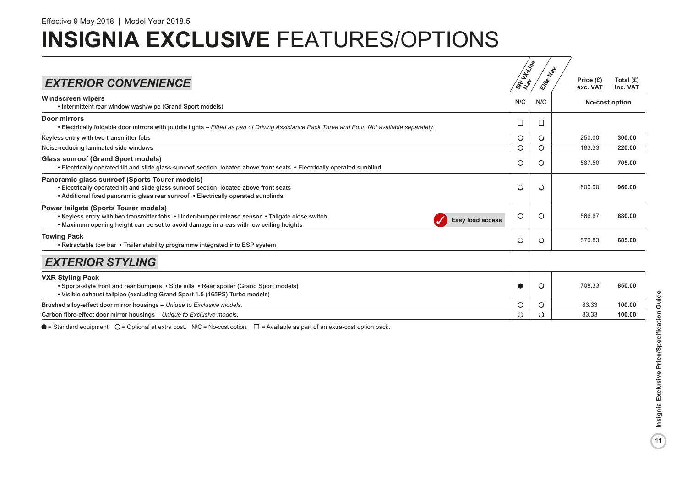|                                                                                                                                                                                                                                                              | SRi H-H-Vine | $\Leftrightarrow$ |                       |                         |
|--------------------------------------------------------------------------------------------------------------------------------------------------------------------------------------------------------------------------------------------------------------|--------------|-------------------|-----------------------|-------------------------|
| <b>EXTERIOR CONVENIENCE</b>                                                                                                                                                                                                                                  |              | Elite             | Price (£)<br>exc. VAT | Total $(E)$<br>inc. VAT |
| <b>Windscreen wipers</b><br>• Intermittent rear window wash/wipe (Grand Sport models)                                                                                                                                                                        | N/C          | N/C               |                       | No-cost option          |
| Door mirrors<br>• Electrically foldable door mirrors with puddle lights - Fitted as part of Driving Assistance Pack Three and Four. Not available separately.                                                                                                | □            | □                 |                       |                         |
| Keyless entry with two transmitter fobs                                                                                                                                                                                                                      | O            | $\circ$           | 250.00                | 300.00                  |
| Noise-reducing laminated side windows                                                                                                                                                                                                                        | O            | $\circ$           | 183.33                | 220.00                  |
| <b>Glass sunroof (Grand Sport models)</b><br>• Electrically operated tilt and slide glass sunroof section, located above front seats • Electrically operated sunblind                                                                                        | $\circ$      | ◯                 | 587.50                | 705.00                  |
| Panoramic glass sunroof (Sports Tourer models)<br>• Electrically operated tilt and slide glass sunroof section, located above front seats<br>• Additional fixed panoramic glass rear sunroof • Electrically operated sunblinds                               | $\circ$      | $\circ$           | 800.00                | 960.00                  |
| <b>Power tailgate (Sports Tourer models)</b><br>• Keyless entry with two transmitter fobs • Under-bumper release sensor • Tailgate close switch<br>Easy load access<br>. Maximum opening height can be set to avoid damage in areas with low ceiling heights | $\circ$      | $\circ$           | 566.67                | 680.00                  |
| <b>Towing Pack</b><br>• Retractable tow bar • Trailer stability programme integrated into ESP system                                                                                                                                                         | O            | $\circ$           | 570.83                | 685.00                  |
| <b>EXTERIOR STYLING</b>                                                                                                                                                                                                                                      |              |                   |                       |                         |
| <b>VXR Styling Pack</b><br>• Sports-style front and rear bumpers • Side sills • Rear spoiler (Grand Sport models)<br>. Visible exhaust tailpipe (excluding Grand Sport 1.5 (165PS) Turbo models)                                                             |              | $\circ$           | 708.33                | 850.00                  |
| Brushed alloy-effect door mirror housings - Unique to Exclusive models.                                                                                                                                                                                      | $\circ$      | $\circ$           | 83.33                 | 100.00                  |
| Carbon fibre-effect door mirror housings - Unique to Exclusive models.                                                                                                                                                                                       | $\circ$      | $\circ$           | 83.33                 | 100.00                  |

 $\bullet$  = Standard equipment.  $\bigcirc$  = Optional at extra cost. N/C = No-cost option.  $\Box$  = Available as part of an extra-cost option pack.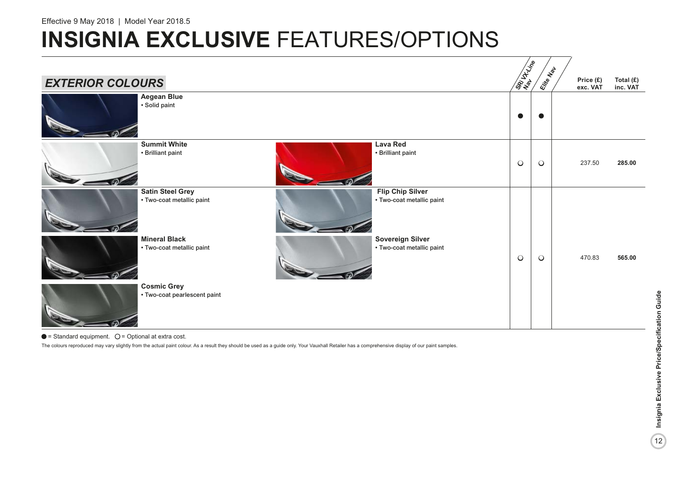## **INSIGNIA EXCLUSIVE FEATURES/OPTIONS**

| <b>EXTERIOR COLOURS</b>                                                                                      | SREY Hyper | Elite Nav | Price (£)<br>exc. VAT | Total (£)<br>inc. VAT |
|--------------------------------------------------------------------------------------------------------------|------------|-----------|-----------------------|-----------------------|
| <b>Aegean Blue</b><br>· Solid paint                                                                          |            |           |                       |                       |
| <b>Summit White</b><br><b>Lava Red</b><br>• Brilliant paint<br>• Brilliant paint                             | $\bigcirc$ | $\circ$   | 237.50                | 285.00                |
| <b>Satin Steel Grey</b><br><b>Flip Chip Silver</b><br>• Two-coat metallic paint<br>• Two-coat metallic paint |            |           |                       |                       |
| <b>Mineral Black</b><br><b>Sovereign Silver</b><br>• Two-coat metallic paint<br>• Two-coat metallic paint    | $\bigcirc$ | $\circ$   | 470.83                | 565.00                |
| <b>Cosmic Grey</b><br>• Two-coat pearlescent paint                                                           |            |           |                       |                       |

 $\bullet$  = Standard equipment.  $\bigcirc$  = Optional at extra cost.

The colours reproduced may vary slightly from the actual paint colour. As a result they should be used as a guide only. Your Vauxhall Retailer has a comprehensive display of our paint samples.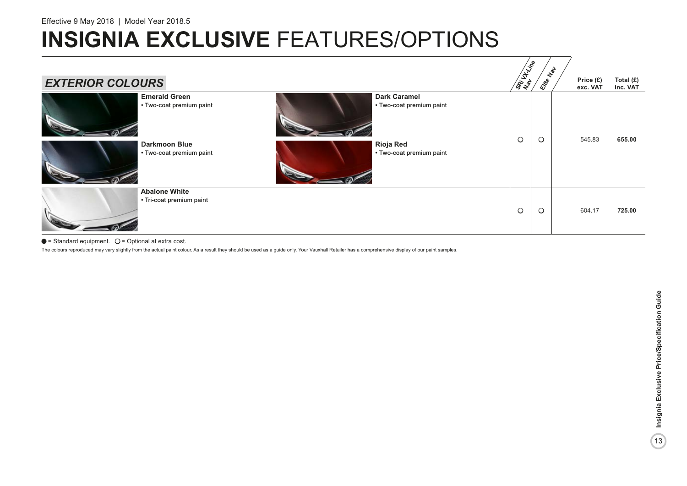| <b>EXTERIOR COLOURS</b>                                                                               | <b>SRI HIVE</b> | $\preccurlyeq^{\phi}$<br>Eife | Price (£)<br>exc. VAT | Total (£)<br>inc. VAT |
|-------------------------------------------------------------------------------------------------------|-----------------|-------------------------------|-----------------------|-----------------------|
| <b>Emerald Green</b><br><b>Dark Caramel</b><br>• Two-coat premium paint<br>• Two-coat premium paint   |                 | $\circ$                       | 545.83                | 655.00                |
| <b>Darkmoon Blue</b><br><b>Rioja Red</b><br>• Two-coat premium paint<br>• Two-coat premium paint<br>r | $\circ$         |                               |                       |                       |
| <b>Abalone White</b><br>• Tri-coat premium paint                                                      | $\circ$         | $\circ$                       | 604.17                | 725.00                |

 $\bullet$  = Standard equipment.  $\bigcirc$  = Optional at extra cost.

The colours reproduced may vary slightly from the actual paint colour. As a result they should be used as a guide only. Your Vauxhall Retailer has a comprehensive display of our paint samples.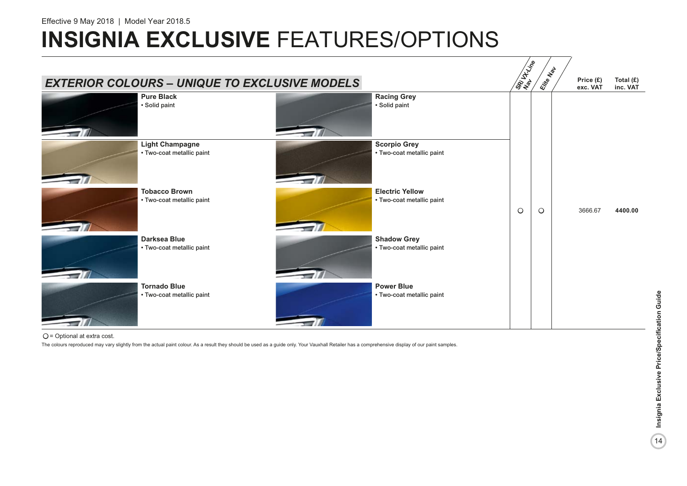## **INSIGNIA EXCLUSIVE FEATURES/OPTIONS**



 $Q$  = Optional at extra cost.

The colours reproduced may vary slightly from the actual paint colour. As a result they should be used as a guide only. Your Vauxhall Retailer has a comprehensive display of our paint samples.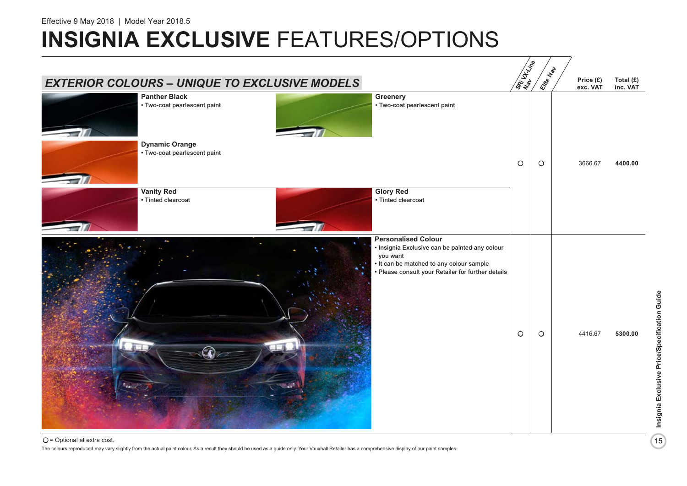## **INSIGNIA EXCLUSIVE FEATURES/OPTIONS**



 $O =$  Optional at extra cost. The colours reproduced may vary slightly from the actual paint colour. As a result they should be used as a guide only. Your Vauxhall Retailer has a comprehensive display of our paint samples.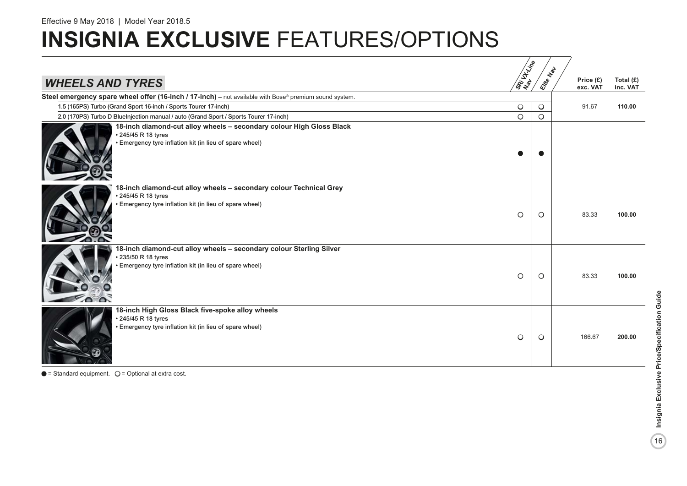# **INSIGNIA EXCLUSIVE FEATURES/OPTIONS**

|                                                                                                                                                        | SRI LLINE  | $A^{\hat{\varphi}}$ |                       |                       |
|--------------------------------------------------------------------------------------------------------------------------------------------------------|------------|---------------------|-----------------------|-----------------------|
| <b>WHEELS AND TYRES</b>                                                                                                                                |            | Elite               | Price (£)<br>exc. VAT | Total (£)<br>inc. VAT |
| Steel emergency spare wheel offer (16-inch / 17-inch) - not available with Bose® premium sound system.                                                 |            |                     |                       |                       |
| 1.5 (165PS) Turbo (Grand Sport 16-inch / Sports Tourer 17-inch)                                                                                        | $\bigcirc$ | $\bigcirc$          | 91.67                 | 110.00                |
| 2.0 (170PS) Turbo D BlueInjection manual / auto (Grand Sport / Sports Tourer 17-inch)                                                                  | $\circ$    | $\bigcirc$          |                       |                       |
| 18-inch diamond-cut alloy wheels - secondary colour High Gloss Black<br>• 245/45 R 18 tyres<br>• Emergency tyre inflation kit (in lieu of spare wheel) |            |                     |                       |                       |
| 18-inch diamond-cut alloy wheels - secondary colour Technical Grey<br>• 245/45 R 18 tyres<br>• Emergency tyre inflation kit (in lieu of spare wheel)   | $\circ$    | $\circ$             | 83.33                 | 100.00                |
| 18-inch diamond-cut alloy wheels - secondary colour Sterling Silver<br>• 235/50 R 18 tyres<br>Emergency tyre inflation kit (in lieu of spare wheel)    | $\circ$    | $\circ$             | 83.33                 | 100.00                |
| 18-inch High Gloss Black five-spoke alloy wheels<br>• 245/45 R 18 tyres<br>· Emergency tyre inflation kit (in lieu of spare wheel)                     | $\circ$    | $\circ$             | 166.67                | 200.00                |

 $\bullet$  = Standard equipment.  $\bigcirc$  = Optional at extra cost.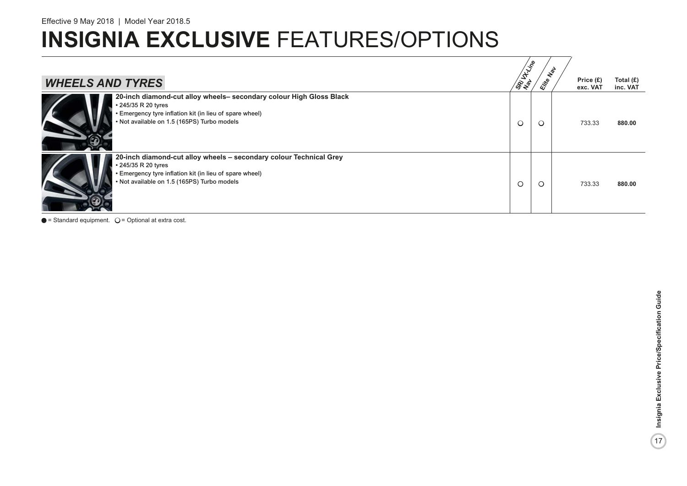## **INSIGNIA EXCLUSIVE FEATURES/OPTIONS**

| <b>WHEELS AND TYRES</b>                                                                                                                                                                              | SRI LIVING | $\boldsymbol{\xi}^{\boldsymbol{\phi}}$<br>Eife | Price (£)<br>exc. VAT | Total $(E)$<br>inc. VAT |
|------------------------------------------------------------------------------------------------------------------------------------------------------------------------------------------------------|------------|------------------------------------------------|-----------------------|-------------------------|
| 20-inch diamond-cut alloy wheels- secondary colour High Gloss Black<br>• 245/35 R 20 tyres<br>• Emergency tyre inflation kit (in lieu of spare wheel)<br>• Not available on 1.5 (165PS) Turbo models | $\circ$    | $\circ$                                        | 733.33                | 880.00                  |
| 20-inch diamond-cut alloy wheels - secondary colour Technical Grey<br>• 245/35 R 20 tyres<br>• Emergency tyre inflation kit (in lieu of spare wheel)<br>• Not available on 1.5 (165PS) Turbo models  | $\circ$    | $\circ$                                        | 733.33                | 880.00                  |

 $\bullet$  = Standard equipment.  $\bigcirc$  = Optional at extra cost.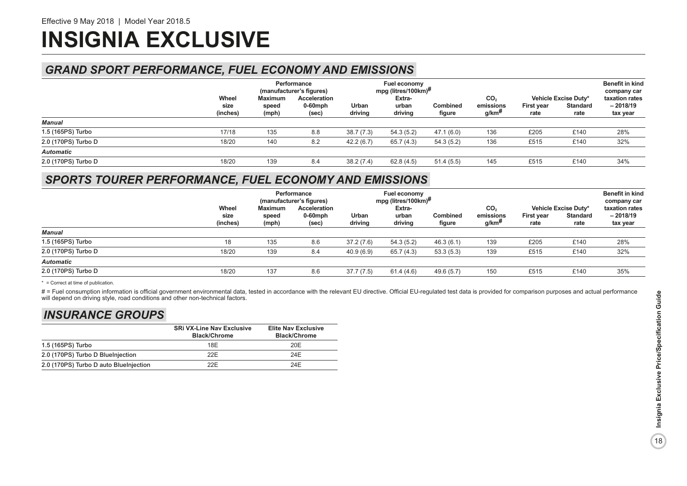## **INSIGNIA EXCLUSIVE**

### *GRAND SPORT PERFORMANCE, FUEL ECONOMY AND EMISSIONS*

|                     |                           |                           | Performance<br>(manufacturer's figures) | Fuel economy<br>mpg (litres/100km) <sup>#</sup> |                            |                           |                                                      |                    |                                                 | <b>Benefit in kind</b><br>company car    |
|---------------------|---------------------------|---------------------------|-----------------------------------------|-------------------------------------------------|----------------------------|---------------------------|------------------------------------------------------|--------------------|-------------------------------------------------|------------------------------------------|
|                     | Wheel<br>size<br>(inches) | Maximum<br>speed<br>(mph) | Acceleration<br>$0-60$ mph<br>(sec)     | Urban<br>driving                                | Extra-<br>urban<br>driving | <b>Combined</b><br>figure | CO <sub>2</sub><br>emissions<br>$g$ /km <sup>#</sup> | First year<br>rate | Vehicle Excise Duty*<br><b>Standard</b><br>rate | taxation rates<br>$-2018/19$<br>tax year |
| Manual              |                           |                           |                                         |                                                 |                            |                           |                                                      |                    |                                                 |                                          |
| 1.5 (165PS) Turbo   | 17/18                     | 135                       | 8.8                                     | 38.7 (7.3)                                      | 54.3(5.2)                  | 47.1 (6.0)                | 136                                                  | £205               | £140                                            | 28%                                      |
| 2.0 (170PS) Turbo D | 18/20                     | 140                       | 8.2                                     | 42.2(6.7)                                       | 65.7 (4.3)                 | 54.3(5.2)                 | 136                                                  | £515               | £140                                            | 32%                                      |
| <b>Automatic</b>    |                           |                           |                                         |                                                 |                            |                           |                                                      |                    |                                                 |                                          |
| 2.0 (170PS) Turbo D | 18/20                     | 139                       | 8.4                                     | 38.2(7.4)                                       | 62.8(4.5)                  | 51.4(5.5)                 | 145                                                  | £515               | £140                                            | 34%                                      |

### *SPORTS TOURER PERFORMANCE, FUEL ECONOMY AND EMISSIONS*

|                     |                           |                           | Performance<br>(manufacturer's figures) |                  | Fuel economy<br>mpg (litres/100km)# |                           |                                                 |                    |                                                 | <b>Benefit in kind</b><br>company car    |
|---------------------|---------------------------|---------------------------|-----------------------------------------|------------------|-------------------------------------|---------------------------|-------------------------------------------------|--------------------|-------------------------------------------------|------------------------------------------|
|                     | Wheel<br>size<br>(inches) | Maximum<br>speed<br>(mph) | Acceleration<br>$0-60$ mph<br>(sec)     | Urban<br>driving | Extra-<br>urban<br>driving          | <b>Combined</b><br>figure | CO <sub>2</sub><br>emissions<br>$g$ /km $^{\#}$ | First year<br>rate | Vehicle Excise Duty*<br><b>Standard</b><br>rate | taxation rates<br>$-2018/19$<br>tax year |
| Manual              |                           |                           |                                         |                  |                                     |                           |                                                 |                    |                                                 |                                          |
| 1.5 (165PS) Turbo   | 18                        | 135                       | 8.6                                     | 37.2(7.6)        | 54.3(5.2)                           | 46.3(6.1)                 | 139                                             | £205               | £140                                            | 28%                                      |
| 2.0 (170PS) Turbo D | 18/20                     | 139                       | 8.4                                     | 40.9(6.9)        | 65.7(4.3)                           | 53.3(5.3)                 | 139                                             | £515               | £140                                            | 32%                                      |
| <b>Automatic</b>    |                           |                           |                                         |                  |                                     |                           |                                                 |                    |                                                 |                                          |
| 2.0 (170PS) Turbo D | 18/20                     | 137                       | 8.6                                     | 37.7(7.5)        | 61.4 (4.6)                          | 49.6(5.7)                 | 150                                             | £515               | £140                                            | 35%                                      |

\* = Correct at time of publication.

# = Fuel consumption information is official government environmental data, tested in accordance with the relevant EU directive. Official EU-regulated test data is provided for comparison purposes and actual performance will depend on driving style, road conditions and other non-technical factors.

### *INSURANCE GROUPS*

|                                        | <b>SRi VX-Line Nav Exclusive</b><br><b>Black/Chrome</b> | <b>Elite Nav Exclusive</b><br><b>Black/Chrome</b> |
|----------------------------------------|---------------------------------------------------------|---------------------------------------------------|
| 1.5 (165PS) Turbo                      | 18F                                                     | 20F                                               |
| 2.0 (170PS) Turbo D BlueInjection      | 22F                                                     | 24F                                               |
| 2.0 (170PS) Turbo D auto BlueInjection | 22F                                                     | 24F                                               |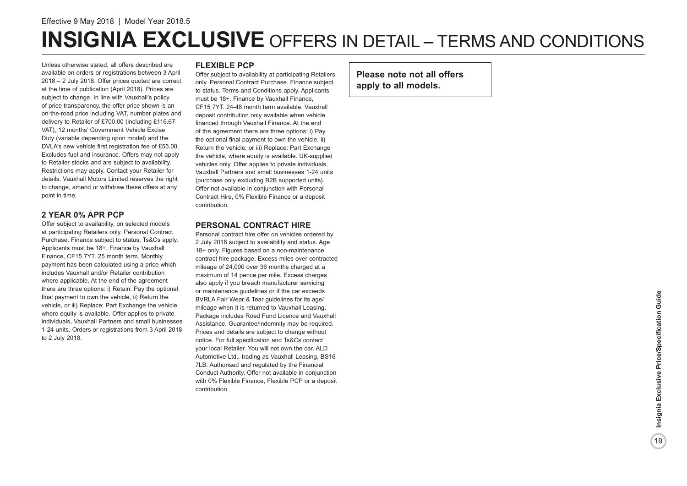# **INSIGNIA EXCLUSIVE** OFFERS IN DETAIL – TERMS AND CONDITIONS

Unless otherwise stated, all offers described are available on orders or registrations between 3 April 2018 – 2 July 2018. Offer prices quoted are correct at the time of publication (April 2018). Prices are subject to change. In line with Vauxhall's policy of price transparency, the offer price shown is an on-the-road price including VAT, number plates and delivery to Retailer of £700.00 (including £116.67 VAT), 12 months' Government Vehicle Excise Duty (variable depending upon model) and the DVLA's new vehicle first registration fee of £55.00. Excludes fuel and insurance. Offers may not apply to Retailer stocks and are subject to availability. Restrictions may apply. Contact your Retailer for details. Vauxhall Motors Limited reserves the right to change, amend or withdraw these offers at any point in time.

### **2 YEAR 0% APR PCP**

Offer subject to availability, on selected models at participating Retailers only. Personal Contract Purchase. Finance subject to status, Ts&Cs apply. Applicants must be 18+. Finance by Vauxhall Finance, CF15 7YT. 25 month term. Monthly payment has been calculated using a price which includes Vauxhall and/or Retailer contribution where applicable. At the end of the agreement there are three options: i) Retain: Pay the optional final payment to own the vehicle, ii) Return the vehicle, or iii) Replace: Part Exchange the vehicle where equity is available. Offer applies to private individuals, Vauxhall Partners and small businesses 1-24 units. Orders or registrations from 3 April 2018 to 2 July 2018.

### **FLEXIBLE PCP**

Offer subject to availability at participating Retailers only. Personal Contract Purchase. Finance subject to status. Terms and Conditions apply. Applicants must be 18+. Finance by Vauxhall Finance, CF15 7YT. 24-48 month term available. Vauxhall deposit contribution only available when vehicle financed through Vauxhall Finance. At the end of the agreement there are three options: i) Pay the optional final payment to own the vehicle, ii) Return the vehicle, or iii) Replace: Part Exchange the vehicle, where equity is available. UK-supplied vehicles only. Offer applies to private individuals, Vauxhall Partners and small businesses 1-24 units (purchase only excluding B2B supported units). Offer not available in conjunction with Personal Contract Hire, 0% Flexible Finance or a deposit contribution.

### **PERSONAL CONTRACT HIRE**

Personal contract hire offer on vehicles ordered by 2 July 2018 subject to availability and status. Age 18+ only. Figures based on a non-maintenance contract hire package. Excess miles over contracted mileage of 24,000 over 36 months charged at a maximum of 14 pence per mile. Excess charges also apply if you breach manufacturer servicing or maintenance guidelines or if the car exceeds BVRLA Fair Wear & Tear guidelines for its age/ mileage when it is returned to Vauxhall Leasing. Package includes Road Fund Licence and Vauxhall Assistance. Guarantee/indemnity may be required. Prices and details are subject to change without notice. For full specification and Ts&Cs contact your local Retailer. You will not own the car. ALD Automotive Ltd., trading as Vauxhall Leasing, BS16 7LB. Authorised and regulated by the Financial Conduct Authority. Offer not available in conjunction with 0% Flexible Finance, Flexible PCP or a deposit contribution.

**Please note not all offers apply to all models.**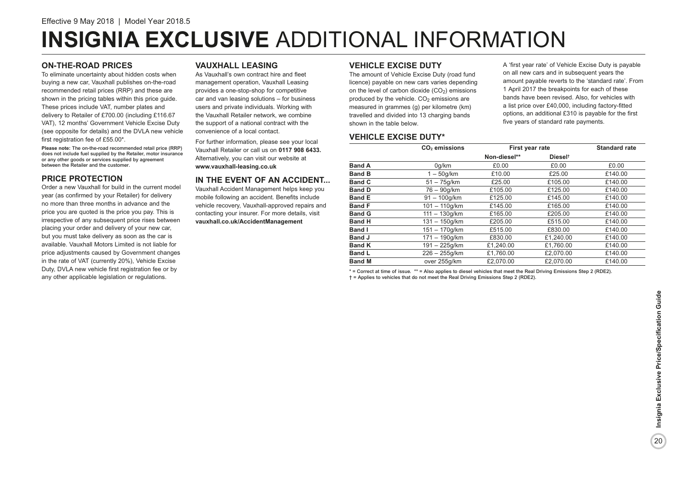# **INSIGNIA EXCLUSIVE** ADDITIONAL INFORMATION

#### **ON-THE-ROAD PRICES**

To eliminate uncertainty about hidden costs when buying a new car, Vauxhall publishes on-the-road recommended retail prices (RRP) and these are shown in the pricing tables within this price guide. These prices include VAT, number plates and delivery to Retailer of £700.00 (including £116.67 VAT), 12 months' Government Vehicle Excise Duty (see opposite for details) and the DVLA new vehicle first registration fee of £55.00\*.

**Please note:** The on-the-road recommended retail price (RRP) does not include fuel supplied by the Retailer, motor insurance or any other goods or services supplied by agreement between the Retailer and the customer.

### **PRICE PROTECTION**

Order a new Vauxhall for build in the current model year (as confirmed by your Retailer) for delivery no more than three months in advance and the price you are quoted is the price you pay. This is irrespective of any subsequent price rises between placing your order and delivery of your new car, but you must take delivery as soon as the car is available. Vauxhall Motors Limited is not liable for price adjustments caused by Government changes in the rate of VAT (currently 20%), Vehicle Excise Duty, DVLA new vehicle first registration fee or by any other applicable legislation or regulations.

### **VAUXHALL LEASING**

As Vauxhall's own contract hire and fleet management operation, Vauxhall Leasing provides a one-stop-shop for competitive car and van leasing solutions – for business users and private individuals. Working with the Vauxhall Retailer network, we combine the support of a national contract with the convenience of a local contact.

For further information, please see your local Vauxhall Retailer or call us on **0117 908 6433.** Alternatively, you can visit our website at **www.vauxhall-leasing.co.uk**

### **IN THE EVENT OF AN ACCIDENT...**

Vauxhall Accident Management helps keep you mobile following an accident. Benefits include vehicle recovery, Vauxhall-approved repairs and contacting your insurer. For more details, visit **vauxhall.co.uk/AccidentManagement**

#### **VEHICLE EXCISE DUTY**

The amount of Vehicle Excise Duty (road fund licence) payable on new cars varies depending on the level of carbon dioxide  $(CO<sub>2</sub>)$  emissions produced by the vehicle.  $CO<sub>2</sub>$  emissions are measured in grammes (g) per kilometre (km) travelled and divided into 13 charging bands shown in the table below.

A 'first year rate' of Vehicle Excise Duty is payable on all new cars and in subsequent years the amount payable reverts to the 'standard rate'. From 1 April 2017 the breakpoints for each of these bands have been revised. Also, for vehicles with a list price over £40,000, including factory-fitted options, an additional £310 is payable for the first five years of standard rate payments.

#### **VEHICLE EXCISE DUTY\***

|               | CO <sub>2</sub> emissions | First year rate | <b>Standard rate</b> |         |
|---------------|---------------------------|-----------------|----------------------|---------|
|               |                           | Non-diesel**    | Diesel <sup>t</sup>  |         |
| <b>Band A</b> | 0q/km                     | £0.00           | £0.00                | £0.00   |
| <b>Band B</b> | $1-50q/km$                | £10.00          | £25.00               | £140.00 |
| <b>Band C</b> | $51 - 75q/km$             | £25.00          | £105.00              | £140.00 |
| <b>Band D</b> | 76 - 90a/km               | £105.00         | £125.00              | £140.00 |
| <b>Band E</b> | $91 - 100q/km$            | £125.00         | £145.00              | £140.00 |
| <b>Band F</b> | $101 - 110q/km$           | £145.00         | £165.00              | £140.00 |
| <b>Band G</b> | $111 - 130q/km$           | £165.00         | £205.00              | £140.00 |
| <b>Band H</b> | $131 - 150a/km$           | £205.00         | £515.00              | £140.00 |
| <b>Band I</b> | $151 - 170a/km$           | £515.00         | £830.00              | £140.00 |
| <b>Band J</b> | $171 - 190q/km$           | £830.00         | £1.240.00            | £140.00 |
| <b>Band K</b> | $191 - 225$ g/km          | £1,240.00       | £1.760.00            | £140.00 |
| <b>Band L</b> | $226 - 255q/km$           | £1,760.00       | £2,070.00            | £140.00 |
| <b>Band M</b> | over 255q/km              | £2.070.00       | £2.070.00            | £140.00 |

\* = Correct at time of issue. \*\* = Also applies to diesel vehicles that meet the Real Driving Emissions Step 2 (RDE2). † = Applies to vehicles that do not meet the Real Driving Emissions Step 2 (RDE2).